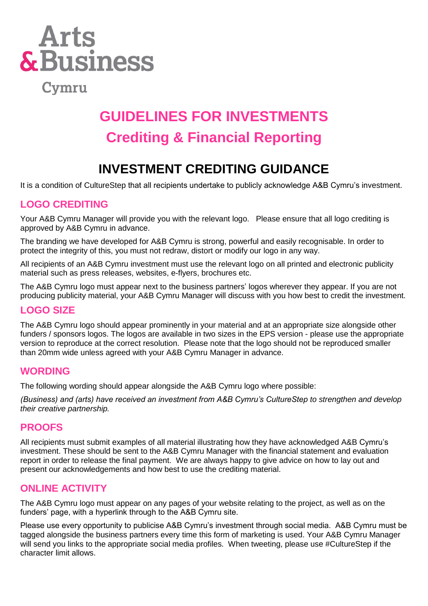

Cymru

## **GUIDELINES FOR INVESTMENTS Crediting & Financial Reporting**

## **INVESTMENT CREDITING GUIDANCE**

It is a condition of CultureStep that all recipients undertake to publicly acknowledge A&B Cymru's investment.

#### **LOGO CREDITING**

Your A&B Cymru Manager will provide you with the relevant logo. Please ensure that all logo crediting is approved by A&B Cymru in advance.

The branding we have developed for A&B Cymru is strong, powerful and easily recognisable. In order to protect the integrity of this, you must not redraw, distort or modify our logo in any way.

All recipients of an A&B Cymru investment must use the relevant logo on all printed and electronic publicity material such as press releases, websites, e-flyers, brochures etc.

The A&B Cymru logo must appear next to the business partners' logos wherever they appear. If you are not producing publicity material, your A&B Cymru Manager will discuss with you how best to credit the investment.

#### **LOGO SIZE**

The A&B Cymru logo should appear prominently in your material and at an appropriate size alongside other funders / sponsors logos. The logos are available in two sizes in the EPS version - please use the appropriate version to reproduce at the correct resolution. Please note that the logo should not be reproduced smaller than 20mm wide unless agreed with your A&B Cymru Manager in advance.

#### **WORDING**

The following wording should appear alongside the A&B Cymru logo where possible:

*(Business) and (arts) have received an investment from A&B Cymru's CultureStep to strengthen and develop their creative partnership.*

#### **PROOFS**

All recipients must submit examples of all material illustrating how they have acknowledged A&B Cymru's investment. These should be sent to the A&B Cymru Manager with the financial statement and evaluation report in order to release the final payment. We are always happy to give advice on how to lay out and present our acknowledgements and how best to use the crediting material.

#### **ONLINE ACTIVITY**

The A&B Cymru logo must appear on any pages of your website relating to the project, as well as on the funders' page, with a hyperlink through to the A&B Cymru site.

Please use every opportunity to publicise A&B Cymru's investment through social media. A&B Cymru must be tagged alongside the business partners every time this form of marketing is used. Your A&B Cymru Manager will send you links to the appropriate social media profiles. When tweeting, please use #CultureStep if the character limit allows.